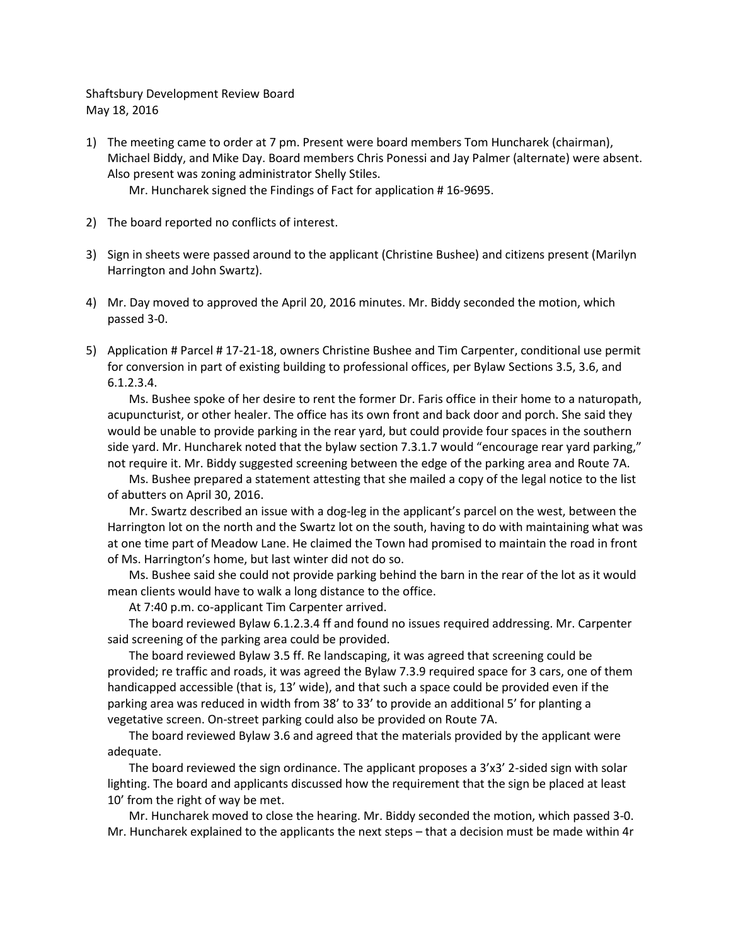Shaftsbury Development Review Board May 18, 2016

1) The meeting came to order at 7 pm. Present were board members Tom Huncharek (chairman), Michael Biddy, and Mike Day. Board members Chris Ponessi and Jay Palmer (alternate) were absent. Also present was zoning administrator Shelly Stiles.

Mr. Huncharek signed the Findings of Fact for application # 16-9695.

- 2) The board reported no conflicts of interest.
- 3) Sign in sheets were passed around to the applicant (Christine Bushee) and citizens present (Marilyn Harrington and John Swartz).
- 4) Mr. Day moved to approved the April 20, 2016 minutes. Mr. Biddy seconded the motion, which passed 3-0.
- 5) Application # Parcel # 17-21-18, owners Christine Bushee and Tim Carpenter, conditional use permit for conversion in part of existing building to professional offices, per Bylaw Sections 3.5, 3.6, and 6.1.2.3.4.

Ms. Bushee spoke of her desire to rent the former Dr. Faris office in their home to a naturopath, acupuncturist, or other healer. The office has its own front and back door and porch. She said they would be unable to provide parking in the rear yard, but could provide four spaces in the southern side yard. Mr. Huncharek noted that the bylaw section 7.3.1.7 would "encourage rear yard parking," not require it. Mr. Biddy suggested screening between the edge of the parking area and Route 7A.

Ms. Bushee prepared a statement attesting that she mailed a copy of the legal notice to the list of abutters on April 30, 2016.

Mr. Swartz described an issue with a dog-leg in the applicant's parcel on the west, between the Harrington lot on the north and the Swartz lot on the south, having to do with maintaining what was at one time part of Meadow Lane. He claimed the Town had promised to maintain the road in front of Ms. Harrington's home, but last winter did not do so.

Ms. Bushee said she could not provide parking behind the barn in the rear of the lot as it would mean clients would have to walk a long distance to the office.

At 7:40 p.m. co-applicant Tim Carpenter arrived.

The board reviewed Bylaw 6.1.2.3.4 ff and found no issues required addressing. Mr. Carpenter said screening of the parking area could be provided.

The board reviewed Bylaw 3.5 ff. Re landscaping, it was agreed that screening could be provided; re traffic and roads, it was agreed the Bylaw 7.3.9 required space for 3 cars, one of them handicapped accessible (that is, 13' wide), and that such a space could be provided even if the parking area was reduced in width from 38' to 33' to provide an additional 5' for planting a vegetative screen. On-street parking could also be provided on Route 7A.

The board reviewed Bylaw 3.6 and agreed that the materials provided by the applicant were adequate.

The board reviewed the sign ordinance. The applicant proposes a 3'x3' 2-sided sign with solar lighting. The board and applicants discussed how the requirement that the sign be placed at least 10' from the right of way be met.

Mr. Huncharek moved to close the hearing. Mr. Biddy seconded the motion, which passed 3-0. Mr. Huncharek explained to the applicants the next steps – that a decision must be made within 4r